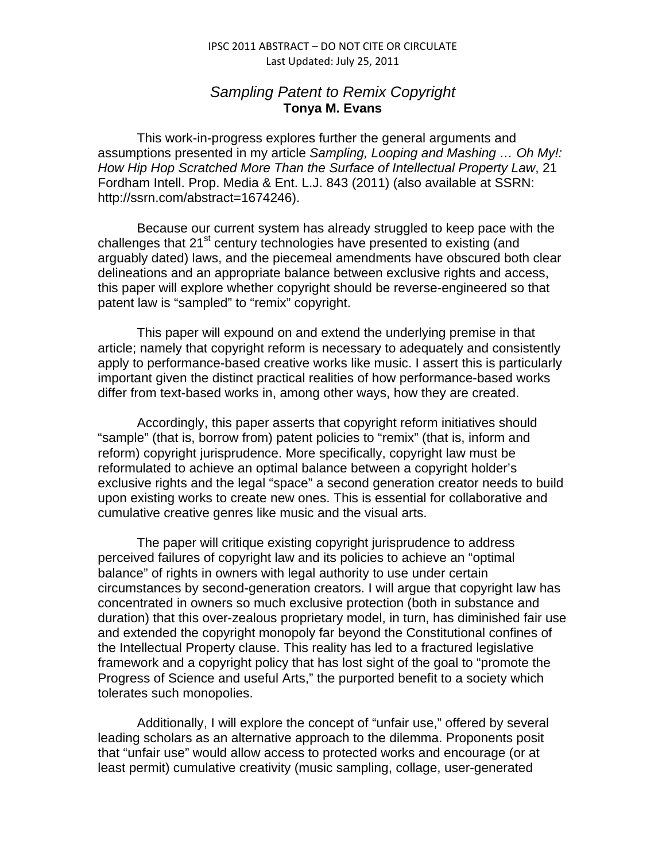## IPSC 2011 ABSTRACT – DO NOT CITE OR CIRCULATE Last Updated: July 25, 2011

## *Sampling Patent to Remix Copyright* **Tonya M. Evans**

This work-in-progress explores further the general arguments and assumptions presented in my article *Sampling, Looping and Mashing … Oh My!: How Hip Hop Scratched More Than the Surface of Intellectual Property Law*, 21 Fordham Intell. Prop. Media & Ent. L.J. 843 (2011) (also available at SSRN: http://ssrn.com/abstract=1674246).

Because our current system has already struggled to keep pace with the challenges that  $21<sup>st</sup>$  century technologies have presented to existing (and arguably dated) laws, and the piecemeal amendments have obscured both clear delineations and an appropriate balance between exclusive rights and access, this paper will explore whether copyright should be reverse-engineered so that patent law is "sampled" to "remix" copyright.

This paper will expound on and extend the underlying premise in that article; namely that copyright reform is necessary to adequately and consistently apply to performance-based creative works like music. I assert this is particularly important given the distinct practical realities of how performance-based works differ from text-based works in, among other ways, how they are created.

Accordingly, this paper asserts that copyright reform initiatives should "sample" (that is, borrow from) patent policies to "remix" (that is, inform and reform) copyright jurisprudence. More specifically, copyright law must be reformulated to achieve an optimal balance between a copyright holder's exclusive rights and the legal "space" a second generation creator needs to build upon existing works to create new ones. This is essential for collaborative and cumulative creative genres like music and the visual arts.

The paper will critique existing copyright jurisprudence to address perceived failures of copyright law and its policies to achieve an "optimal balance" of rights in owners with legal authority to use under certain circumstances by second-generation creators. I will argue that copyright law has concentrated in owners so much exclusive protection (both in substance and duration) that this over-zealous proprietary model, in turn, has diminished fair use and extended the copyright monopoly far beyond the Constitutional confines of the Intellectual Property clause. This reality has led to a fractured legislative framework and a copyright policy that has lost sight of the goal to "promote the Progress of Science and useful Arts," the purported benefit to a society which tolerates such monopolies.

Additionally, I will explore the concept of "unfair use," offered by several leading scholars as an alternative approach to the dilemma. Proponents posit that "unfair use" would allow access to protected works and encourage (or at least permit) cumulative creativity (music sampling, collage, user-generated